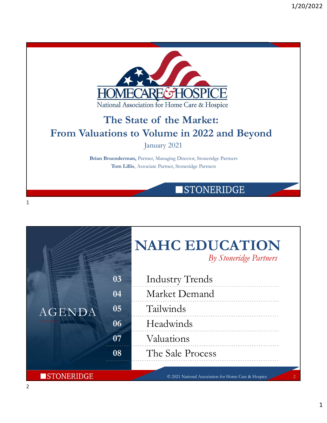



 $1$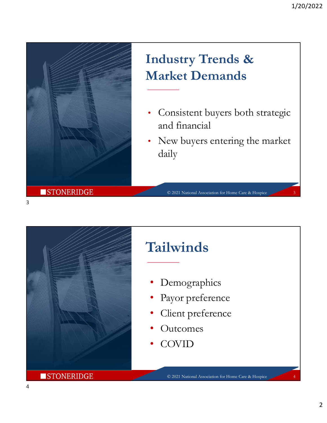

## Industry Trends & Market Demands

- Consistent buyers both strategic and financial
- New buyers entering the market daily

© 2021 National Association for Home Care & Hospice 3



## Tailwinds

- **Demographics**
- Payor preference
- Client preference
- **Outcomes**
- COVID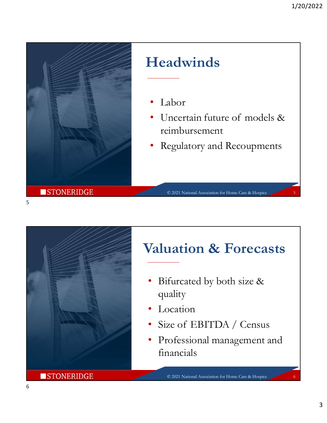

## Headwinds

- Labor
- 1/20/2022<br>
 Labor<br>
 Labor<br>
 Uncertain future of models &<br>
 reimbursement<br>
 Regulatory and Recoupments reimbursement
- Regulatory and Recoupments

© 2021 National Association for Home Care & Hospice 5



## Valuation & Forecasts

- Bifurcated by both size & quality
- **Location**
- 
- Valuation & Forecasts<br>
 Bifurcated by both size &<br>
 quality<br>
 Location<br>
 Size of EBITDA / Census<br>
 Professional management and<br>
financials • Professional management and financials